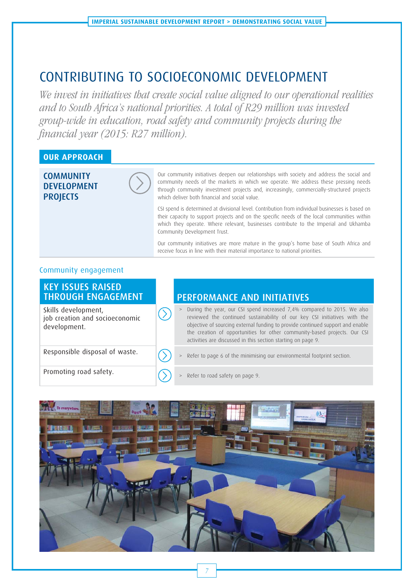## CONTRIBUTING TO SOCIOECONOMIC DEVELOPMENT

We invest in initiatives that create social value aligned to our operational realities and to South Africa's national priorities. A total of R29 million was invested group-wide in education, road safety and community projects during the financial year (2015: R27 million).

### **OUR APPROACH**

**COMMUNITY** DEVELOPMENT **PROJECTS** 



Our community initiatives deepen our relationships with society and address the social and community needs of the markets in which we operate. We address these pressing needs through community investment projects and, increasingly, commercially-structured projects which deliver both financial and social value.

CSI spend is determined at divisional level. Contribution from individual businesses is based on their capacity to support projects and on the specific needs of the local communities within which they operate. Where relevant, businesses contribute to the Imperial and Ukhamba Community Development Trust.

Our community initiatives are more mature in the group's home base of South Africa and receive focus in line with their material importance to national priorities.

#### Community engagement